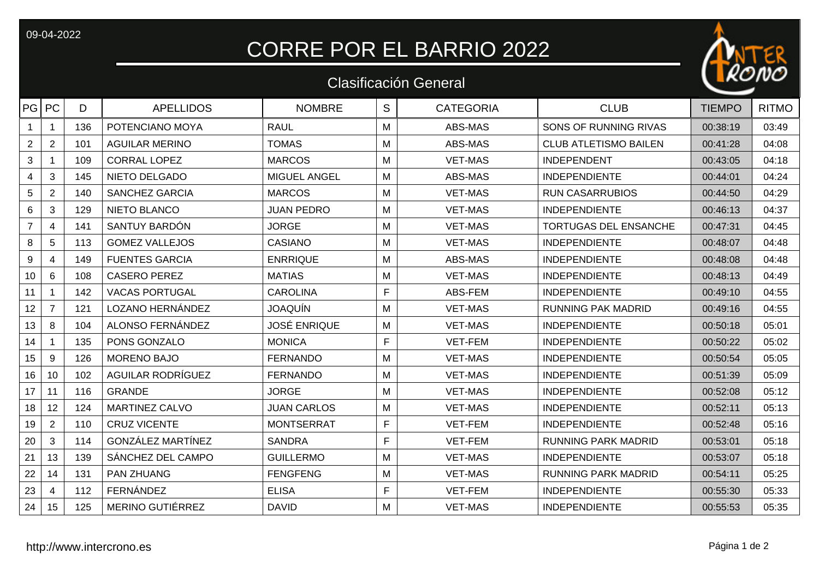09-04-2022

## CORRE POR EL BARRIO 2022

## Clasificación General